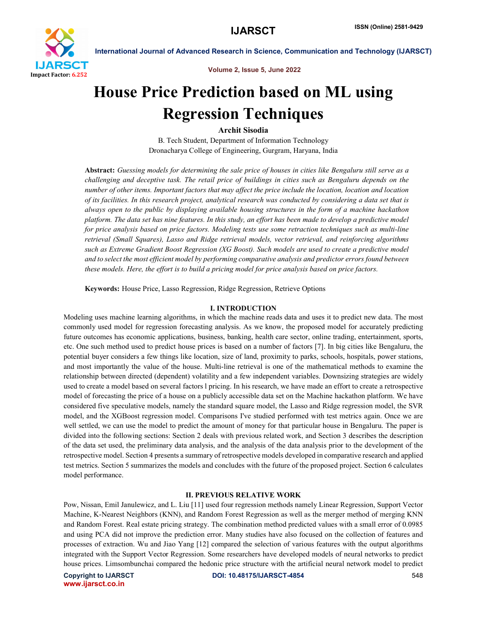

Volume 2, Issue 5, June 2022

# House Price Prediction based on ML using Regression Techniques

Archit Sisodia

B. Tech Student, Department of Information Technology Dronacharya College of Engineering, Gurgram, Haryana, India

Abstract: *Guessing models for determining the sale price of houses in cities like Bengaluru still serve as a challenging and deceptive task. The retail price of buildings in cities such as Bengaluru depends on the number of other items. Important factors that may affect the price include the location, location and location of its facilities. In this research project, analytical research was conducted by considering a data set that is always open to the public by displaying available housing structures in the form of a machine hackathon platform. The data set has nine features. In this study, an effort has been made to develop a predictive model for price analysis based on price factors. Modeling tests use some retraction techniques such as multi-line retrieval (Small Squares), Lasso and Ridge retrieval models, vector retrieval, and reinforcing algorithms such as Extreme Gradient Boost Regression (XG Boost). Such models are used to create a predictive model and to select the most efficient model by performing comparative analysis and predictor errors found between these models. Here, the effort is to build a pricing model for price analysis based on price factors.*

Keywords: House Price, Lasso Regression, Ridge Regression, Retrieve Options

#### I. INTRODUCTION

Modeling uses machine learning algorithms, in which the machine reads data and uses it to predict new data. The most commonly used model for regression forecasting analysis. As we know, the proposed model for accurately predicting future outcomes has economic applications, business, banking, health care sector, online trading, entertainment, sports, etc. One such method used to predict house prices is based on a number of factors [7]. In big cities like Bengaluru, the potential buyer considers a few things like location, size of land, proximity to parks, schools, hospitals, power stations, and most importantly the value of the house. Multi-line retrieval is one of the mathematical methods to examine the relationship between directed (dependent) volatility and a few independent variables. Downsizing strategies are widely used to create a model based on several factors l pricing. In his research, we have made an effort to create a retrospective model of forecasting the price of a house on a publicly accessible data set on the Machine hackathon platform. We have considered five speculative models, namely the standard square model, the Lasso and Ridge regression model, the SVR model, and the XGBoost regression model. Comparisons I've studied performed with test metrics again. Once we are well settled, we can use the model to predict the amount of money for that particular house in Bengaluru. The paper is divided into the following sections: Section 2 deals with previous related work, and Section 3 describes the description of the data set used, the preliminary data analysis, and the analysis of the data analysis prior to the development of the retrospective model. Section 4 presents a summary of retrospective models developed in comparative research and applied test metrics. Section 5 summarizes the models and concludes with the future of the proposed project. Section 6 calculates model performance.

#### II. PREVIOUS RELATIVE WORK

Pow, Nissan, Emil Janulewicz, and L. Liu [11] used four regression methods namely Linear Regression, Support Vector Machine, K-Nearest Neighbors (KNN), and Random Forest Regression as well as the merger method of merging KNN and Random Forest. Real estate pricing strategy. The combination method predicted values with a small error of 0.0985 and using PCA did not improve the prediction error. Many studies have also focused on the collection of features and processes of extraction. Wu and Jiao Yang [12] compared the selection of various features with the output algorithms integrated with the Support Vector Regression. Some researchers have developed models of neural networks to predict house prices. Limsombunchai compared the hedonic price structure with the artificial neural network model to predict

www.ijarsct.co.in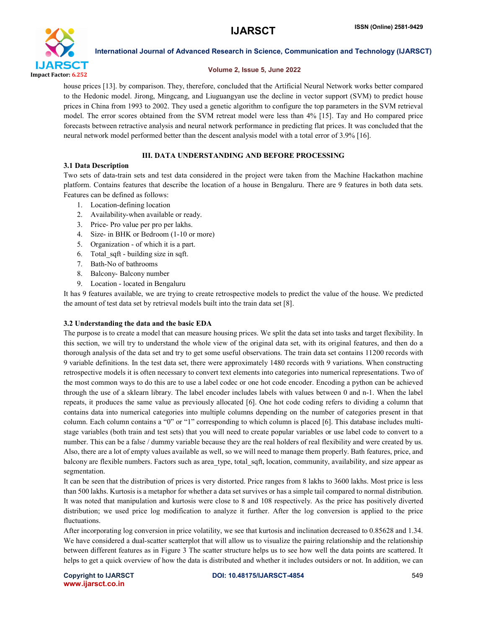

#### Volume 2, Issue 5, June 2022

house prices [13]. by comparison. They, therefore, concluded that the Artificial Neural Network works better compared to the Hedonic model. Jirong, Mingcang, and Liuguangyan use the decline in vector support (SVM) to predict house prices in China from 1993 to 2002. They used a genetic algorithm to configure the top parameters in the SVM retrieval model. The error scores obtained from the SVM retreat model were less than 4% [15]. Tay and Ho compared price forecasts between retractive analysis and neural network performance in predicting flat prices. It was concluded that the neural network model performed better than the descent analysis model with a total error of 3.9% [16].

# III. DATA UNDERSTANDING AND BEFORE PROCESSING

### 3.1 Data Description

Two sets of data-train sets and test data considered in the project were taken from the Machine Hackathon machine platform. Contains features that describe the location of a house in Bengaluru. There are 9 features in both data sets. Features can be defined as follows:

- 1. Location-defining location
- 2. Availability-when available or ready.
- 3. Price- Pro value per pro per lakhs.
- 4. Size- in BHK or Bedroom (1-10 or more)
- 5. Organization of which it is a part.
- 6. Total\_sqft building size in sqft.
- 7. Bath-No of bathrooms
- 8. Balcony- Balcony number
- 9. Location located in Bengaluru

It has 9 features available, we are trying to create retrospective models to predict the value of the house. We predicted the amount of test data set by retrieval models built into the train data set [8].

#### 3.2 Understanding the data and the basic EDA

The purpose is to create a model that can measure housing prices. We split the data set into tasks and target flexibility. In this section, we will try to understand the whole view of the original data set, with its original features, and then do a thorough analysis of the data set and try to get some useful observations. The train data set contains 11200 records with 9 variable definitions. In the test data set, there were approximately 1480 records with 9 variations. When constructing retrospective models it is often necessary to convert text elements into categories into numerical representations. Two of the most common ways to do this are to use a label codec or one hot code encoder. Encoding a python can be achieved through the use of a sklearn library. The label encoder includes labels with values between 0 and n-1. When the label repeats, it produces the same value as previously allocated [6]. One hot code coding refers to dividing a column that contains data into numerical categories into multiple columns depending on the number of categories present in that column. Each column contains a "0" or "1" corresponding to which column is placed [6]. This database includes multistage variables (both train and test sets) that you will need to create popular variables or use label code to convert to a number. This can be a false / dummy variable because they are the real holders of real flexibility and were created by us. Also, there are a lot of empty values available as well, so we will need to manage them properly. Bath features, price, and balcony are flexible numbers. Factors such as area\_type, total\_sqft, location, community, availability, and size appear as segmentation.

It can be seen that the distribution of prices is very distorted. Price ranges from 8 lakhs to 3600 lakhs. Most price is less than 500 lakhs. Kurtosis is a metaphor for whether a data set survives or has a simple tail compared to normal distribution. It was noted that manipulation and kurtosis were close to 8 and 108 respectively. As the price has positively diverted distribution; we used price log modification to analyze it further. After the log conversion is applied to the price fluctuations.

After incorporating log conversion in price volatility, we see that kurtosis and inclination decreased to 0.85628 and 1.34. We have considered a dual-scatter scatterplot that will allow us to visualize the pairing relationship and the relationship between different features as in Figure 3 The scatter structure helps us to see how well the data points are scattered. It helps to get a quick overview of how the data is distributed and whether it includes outsiders or not. In addition, we can

www.ijarsct.co.in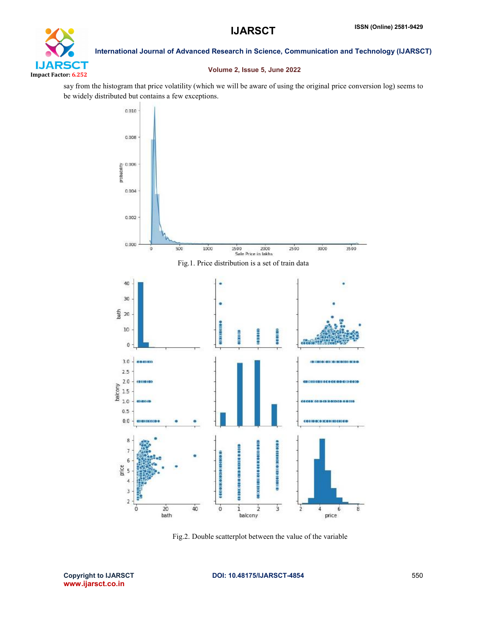

# Volume 2, Issue 5, June 2022

say from the histogram that price volatility (which we will be aware of using the original price conversion log) seems to be widely distributed but contains a few exceptions.



Fig.2. Double scatterplot between the value of the variable

www.ijarsct.co.in

# Copyright to IJARSCT DOI: 10.48175/IJARSCT-4854 550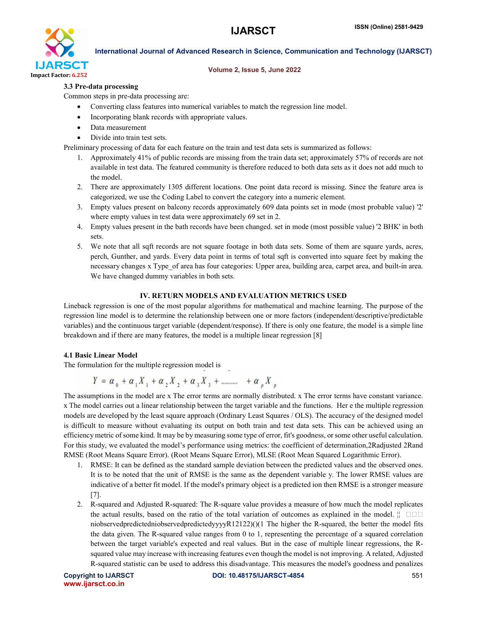

#### Volume 2, Issue 5, June 2022

# 3.3 Pre-data processing

Common steps in pre-data processing are:

- Converting class features into numerical variables to match the regression line model.
- Incorporating blank records with appropriate values.
- Data measurement
- Divide into train test sets.

Preliminary processing of data for each feature on the train and test data sets is summarized as follows:

- 1. Approximately 41% of public records are missing from the train data set; approximately 57% of records are not available in test data. The featured community is therefore reduced to both data sets as it does not add much to the model.
- 2. There are approximately 1305 different locations. One point data record is missing. Since the feature area is categorized, we use the Coding Label to convert the category into a numeric element.
- 3. Empty values present on balcony records approximately 609 data points set in mode (most probable value) '2' where empty values in test data were approximately 69 set in 2.
- 4. Empty values present in the bath records have been changed. set in mode (most possible value) '2 BHK' in both sets.
- 5. We note that all sqft records are not square footage in both data sets. Some of them are square yards, acres, perch, Gunther, and yards. Every data point in terms of total sqft is converted into square feet by making the necessary changes x Type\_of area has four categories: Upper area, building area, carpet area, and built-in area. We have changed dummy variables in both sets.

### IV. RETURN MODELS AND EVALUATION METRICS USED

Lineback regression is one of the most popular algorithms for mathematical and machine learning. The purpose of the regression line model is to determine the relationship between one or more factors (independent/descriptive/predictable variables) and the continuous target variable (dependent/response). If there is only one feature, the model is a simple line breakdown and if there are many features, the model is a multiple linear regression [8]

#### 4.1 Basic Linear Model

The formulation for the multiple regression model is

$$
Y = \alpha_{0} + \alpha_{1} X_{1} + \alpha_{2} X_{2} + \alpha_{3} X_{3} + \dots + \alpha_{p} X_{p}
$$

The assumptions in the model are x The error terms are normally distributed. x The error terms have constant variance. x The model carries out a linear relationship between the target variable and the functions. Her e the multiple regression models are developed by the least square approach (Ordinary Least Squares / OLS). The accuracy of the designed model is difficult to measure without evaluating its output on both train and test data sets. This can be achieved using an efficiency metric of some kind. It may be by measuring some type of error, fit's goodness, or some other useful calculation. For this study, we evaluated the model's performance using metrics: the coefficient of determination,2Radjusted 2Rand RMSE (Root Means Square Error). (Root Means Square Error), MLSE (Root Mean Squared Logarithmic Error).

- 1. RMSE: It can be defined as the standard sample deviation between the predicted values and the observed ones. It is to be noted that the unit of RMSE is the same as the dependent variable y. The lower RMSE values are indicative of a better fit model. If the model's primary object is a predicted ion then RMSE is a stronger measure [7].
- 2. R-squared and Adjusted R-squared: The R-square value provides a measure of how much the model replicates the actual results, based on the ratio of the total variation of outcomes as explained in the model.  $\frac{1}{11}$ niobservedpredictedniobservedpredictedyyyyR12122)()(1 The higher the R-squared, the better the model fits the data given. The R-squared value ranges from 0 to 1, representing the percentage of a squared correlation between the target variable's expected and real values. But in the case of multiple linear regressions, the Rsquared value may increase with increasing features even though the model is not improving. A related, Adjusted R-squared statistic can be used to address this disadvantage. This measures the model's goodness and penalizes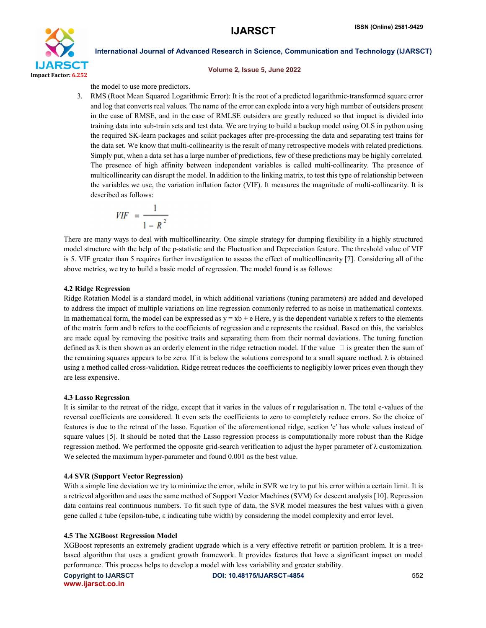

#### Volume 2, Issue 5, June 2022

the model to use more predictors.

3. RMS (Root Mean Squared Logarithmic Error): It is the root of a predicted logarithmic-transformed square error and log that converts real values. The name of the error can explode into a very high number of outsiders present in the case of RMSE, and in the case of RMLSE outsiders are greatly reduced so that impact is divided into training data into sub-train sets and test data. We are trying to build a backup model using OLS in python using the required SK-learn packages and scikit packages after pre-processing the data and separating test trains for the data set. We know that multi-collinearity is the result of many retrospective models with related predictions. Simply put, when a data set has a large number of predictions, few of these predictions may be highly correlated. The presence of high affinity between independent variables is called multi-collinearity. The presence of multicollinearity can disrupt the model. In addition to the linking matrix, to test this type of relationship between the variables we use, the variation inflation factor (VIF). It measures the magnitude of multi-collinearity. It is described as follows:

$$
VIF = \frac{1}{1 - R^2}
$$

There are many ways to deal with multicollinearity. One simple strategy for dumping flexibility in a highly structured model structure with the help of the p-statistic and the Fluctuation and Depreciation feature. The threshold value of VIF is 5. VIF greater than 5 requires further investigation to assess the effect of multicollinearity [7]. Considering all of the above metrics, we try to build a basic model of regression. The model found is as follows:

### 4.2 Ridge Regression

Ridge Rotation Model is a standard model, in which additional variations (tuning parameters) are added and developed to address the impact of multiple variations on line regression commonly referred to as noise in mathematical contexts. In mathematical form, the model can be expressed as  $y = xb + e$  Here, y is the dependent variable x refers to the elements of the matrix form and b refers to the coefficients of regression and e represents the residual. Based on this, the variables are made equal by removing the positive traits and separating them from their normal deviations. The tuning function defined as  $\lambda$  is then shown as an orderly element in the ridge retraction model. If the value  $\Box$  is greater then the sum of the remaining squares appears to be zero. If it is below the solutions correspond to a small square method.  $\lambda$  is obtained using a method called cross-validation. Ridge retreat reduces the coefficients to negligibly lower prices even though they are less expensive.

#### 4.3 Lasso Regression

It is similar to the retreat of the ridge, except that it varies in the values of r regularisation n. The total e-values of the reversal coefficients are considered. It even sets the coefficients to zero to completely reduce errors. So the choice of features is due to the retreat of the lasso. Equation of the aforementioned ridge, section 'e' has whole values instead of square values [5]. It should be noted that the Lasso regression process is computationally more robust than the Ridge regression method. We performed the opposite grid-search verification to adjust the hyper parameter of λ customization. We selected the maximum hyper-parameter and found 0.001 as the best value.

#### 4.4 SVR (Support Vector Regression)

With a simple line deviation we try to minimize the error, while in SVR we try to put his error within a certain limit. It is a retrieval algorithm and uses the same method of Support Vector Machines (SVM) for descent analysis [10]. Repression data contains real continuous numbers. To fit such type of data, the SVR model measures the best values with a given gene called ε tube (epsilon-tube, ε indicating tube width) by considering the model complexity and error level.

# 4.5 The XGBoost Regression Model

XGBoost represents an extremely gradient upgrade which is a very effective retrofit or partition problem. It is a treebased algorithm that uses a gradient growth framework. It provides features that have a significant impact on model performance. This process helps to develop a model with less variability and greater stability.